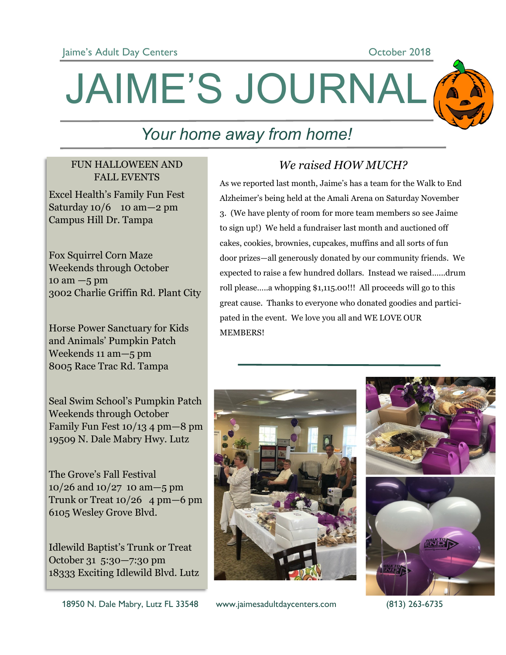

## JAIME'S JOURNAL

### *Your home away from home!*

#### FUN HALLOWEEN AND FALL EVENTS

Excel Health's Family Fun Fest Saturday  $10/6$  10 am  $-2$  pm Campus Hill Dr. Tampa

Fox Squirrel Corn Maze Weekends through October  $10 \text{ am} - 5 \text{ pm}$ 3002 Charlie Griffin Rd. Plant City

Horse Power Sanctuary for Kids and Animals' Pumpkin Patch Weekends 11 am—5 pm 8005 Race Trac Rd. Tampa

Seal Swim School's Pumpkin Patch Weekends through October Family Fun Fest 10/13 4 pm—8 pm 19509 N. Dale Mabry Hwy. Lutz

The Grove's Fall Festival 10/26 and 10/27 10 am—5 pm Trunk or Treat  $10/26$  4 pm  $-6$  pm 6105 Wesley Grove Blvd.

Idlewild Baptist's Trunk or Treat October 31 5:30—7:30 pm 18333 Exciting Idlewild Blvd. Lutz

#### *We raised HOW MUCH?*

As we reported last month, Jaime's has a team for the Walk to End Alzheimer's being held at the Amali Arena on Saturday November 3. (We have plenty of room for more team members so see Jaime to sign up!) We held a fundraiser last month and auctioned off cakes, cookies, brownies, cupcakes, muffins and all sorts of fun door prizes—all generously donated by our community friends. We expected to raise a few hundred dollars. Instead we raised…...drum roll please…..a whopping \$1,115.00!!! All proceeds will go to this great cause. Thanks to everyone who donated goodies and participated in the event. We love you all and WE LOVE OUR MEMBERS!

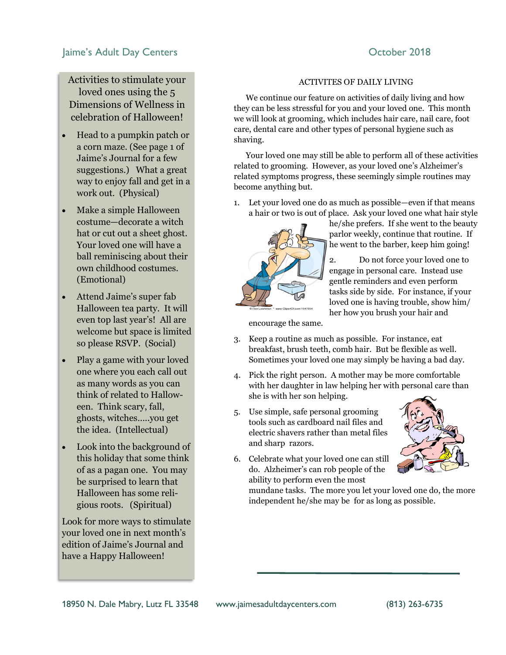#### Jaime's Adult Day Centers **Canadian Control Control Control Control Control Control Control Control Control Control Control Control Control Control Control Control Control Control Control Control Control Control Control Co**

Activities to stimulate your loved ones using the 5 Dimensions of Wellness in celebration of Halloween!

- Head to a pumpkin patch or a corn maze. (See page 1 of Jaime's Journal for a few suggestions.) What a great way to enjoy fall and get in a work out. (Physical)
- Make a simple Halloween costume—decorate a witch hat or cut out a sheet ghost. Your loved one will have a ball reminiscing about their own childhood costumes. (Emotional)
- Attend Jaime's super fab Halloween tea party. It will even top last year's! All are welcome but space is limited so please RSVP. (Social)
- Play a game with your loved one where you each call out as many words as you can think of related to Halloween. Think scary, fall, ghosts, witches…..you get the idea. (Intellectual)
- Look into the background of this holiday that some think of as a pagan one. You may be surprised to learn that Halloween has some religious roots. (Spiritual)

Look for more ways to stimulate your loved one in next month's edition of Jaime's Journal and have a Happy Halloween!

#### ACTIVITES OF DAILY LIVING

 We continue our feature on activities of daily living and how they can be less stressful for you and your loved one. This month we will look at grooming, which includes hair care, nail care, foot care, dental care and other types of personal hygiene such as shaving.

 Your loved one may still be able to perform all of these activities related to grooming. However, as your loved one's Alzheimer's related symptoms progress, these seemingly simple routines may become anything but.

1. Let your loved one do as much as possible—even if that means a hair or two is out of place. Ask your loved one what hair style



he/she prefers. If she went to the beauty parlor weekly, continue that routine. If he went to the barber, keep him going!

2. Do not force your loved one to engage in personal care. Instead use gentle reminders and even perform tasks side by side. For instance, if your loved one is having trouble, show him/ her how you brush your hair and

encourage the same.

- 3. Keep a routine as much as possible. For instance, eat breakfast, brush teeth, comb hair. But be flexible as well. Sometimes your loved one may simply be having a bad day.
- 4. Pick the right person. A mother may be more comfortable with her daughter in law helping her with personal care than she is with her son helping.
- 5. Use simple, safe personal grooming tools such as cardboard nail files and electric shavers rather than metal files and sharp razors.
- 
- 6. Celebrate what your loved one can still do. Alzheimer's can rob people of the ability to perform even the most

mundane tasks. The more you let your loved one do, the more independent he/she may be for as long as possible.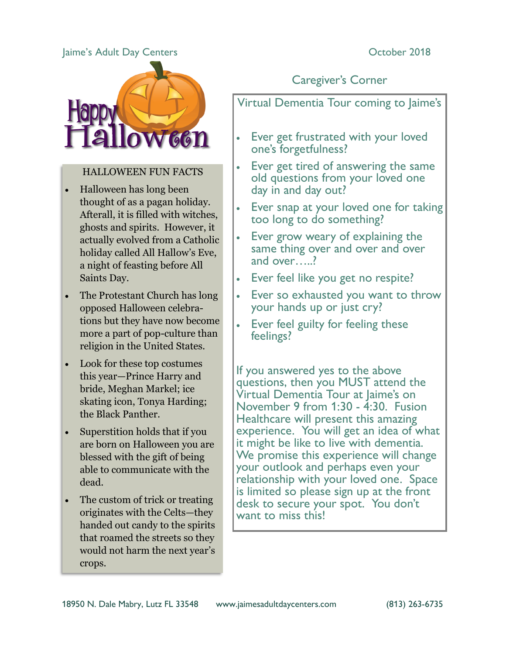#### Jaime's Adult Day Centers **Canadian Control Control Control** Cortober 2018



#### HALLOWEEN FUN FACTS

- Halloween has long been thought of as a pagan holiday. Afterall, it is filled with witches, ghosts and spirits. However, it actually evolved from a Catholic holiday called All Hallow's Eve, a night of feasting before All Saints Day.
- The Protestant Church has long opposed Halloween celebrations but they have now become more a part of pop-culture than religion in the United States.
- Look for these top costumes this year—Prince Harry and bride, Meghan Markel; ice skating icon, Tonya Harding; the Black Panther.
- Superstition holds that if you are born on Halloween you are blessed with the gift of being able to communicate with the dead.
- The custom of trick or treating originates with the Celts—they handed out candy to the spirits that roamed the streets so they would not harm the next year's crops.

#### Caregiver's Corner

#### Virtual Dementia Tour coming to Jaime's

- Ever get frustrated with your loved one's forgetfulness?
- Ever get tired of answering the same old questions from your loved one day in and day out?
- Ever snap at your loved one for taking too long to do something?
- Ever grow weary of explaining the same thing over and over and over and over…..?
- Ever feel like you get no respite?
- Ever so exhausted you want to throw your hands up or just cry?
- Ever feel guilty for feeling these feelings?

If you answered yes to the above questions, then you MUST attend the Virtual Dementia Tour at Jaime's on November 9 from 1:30 - 4:30. Fusion Healthcare will present this amazing experience. You will get an idea of what it might be like to live with dementia. We promise this experience will change your outlook and perhaps even your relationship with your loved one. Space is limited so please sign up at the front desk to secure your spot. You don't want to miss this!